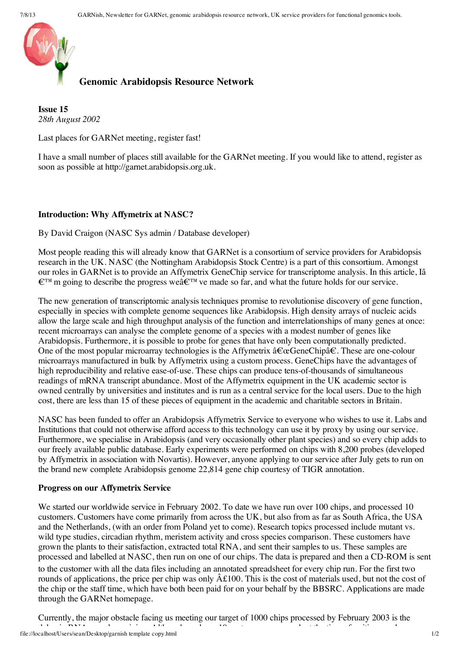

## **Genomic Arabidopsis Resource Network**

**Issue 15** *28th August 2002*

Last places for GARNet meeting, register fast!

I have a small number of places still available for the GARNet meeting. If you would like to attend, register as soon as possible at http://garnet.arabidopsis.org.uk.

## **Introduction: Why Affymetrix at NASC?**

By David Craigon (NASC Sys admin / Database developer)

Most people reading this will already know that GARNet is a consortium of service providers for Arabidopsis research in the UK. NASC (the Nottingham Arabidopsis Stock Centre) is a part of this consortium. Amongst our roles in GARNet is to provide an Affymetrix GeneChip service for transcriptome analysis. In this article, Iâ  $\epsilon^{\text{TM}}$  m going to describe the progress we $\hat{a} \epsilon^{\text{TM}}$  ve made so far, and what the future holds for our service.

The new generation of transcriptomic analysis techniques promise to revolutionise discovery of gene function, especially in species with complete genome sequences like Arabidopsis. High density arrays of nucleic acids allow the large scale and high throughput analysis of the function and interrelationships of many genes at once: recent microarrays can analyse the complete genome of a species with a modest number of genes like Arabidopsis. Furthermore, it is possible to probe for genes that have only been computationally predicted. One of the most popular microarray technologies is the Affymetrix  $\hat{a}\epsilon_{\alpha}$ GeneChipâ $\epsilon$ . These are one-colour microarrays manufactured in bulk by Affymetrix using a custom process. GeneChips have the advantages of high reproducibility and relative ease-of-use. These chips can produce tens-of-thousands of simultaneous readings of mRNA transcript abundance. Most of the Affymetrix equipment in the UK academic sector is owned centrally by universities and institutes and is run as a central service for the local users. Due to the high cost, there are less than 15 of these pieces of equipment in the academic and charitable sectors in Britain.

NASC has been funded to offer an Arabidopsis Affymetrix Service to everyone who wishes to use it. Labs and Institutions that could not otherwise afford access to this technology can use it by proxy by using our service. Furthermore, we specialise in Arabidopsis (and very occasionally other plant species) and so every chip adds to our freely available public database. Early experiments were performed on chips with 8,200 probes (developed by Affymetrix in association with Novartis). However, anyone applying to our service after July gets to run on the brand new complete Arabidopsis genome 22,814 gene chip courtesy of TIGR annotation.

## **Progress on our Affymetrix Service**

We started our worldwide service in February 2002. To date we have run over 100 chips, and processed 10 customers. Customers have come primarily from across the UK, but also from as far as South Africa, the USA and the Netherlands, (with an order from Poland yet to come). Research topics processed include mutant vs. wild type studies, circadian rhythm, meristem activity and cross species comparison. These customers have grown the plants to their satisfaction, extracted total RNA, and sent their samples to us. These samples are processed and labelled at NASC, then run on one of our chips. The data is prepared and then a CD-ROM is sent

to the customer with all the data files including an annotated spreadsheet for every chip run. For the first two rounds of applications, the price per chip was only  $\hat{A}t100$ . This is the cost of materials used, but not the cost of the chip or the staff time, which have both been paid for on your behalf by the BBSRC. Applications are made through the GARNet homepage.

delay in a sample state of the time of time of writing arriving. Although we have the time of writing over the time of writing arriving the time of writing over the time over the time over the time over the time over the t Currently, the major obstacle facing us meeting our target of 1000 chips processed by February 2003 is the